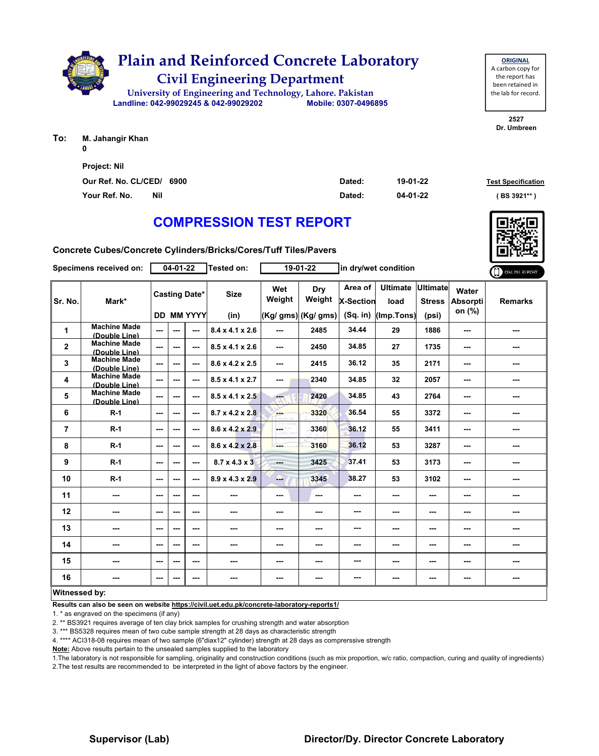

| To: | M. Jahangir Khan |
|-----|------------------|
|     | ŋ                |

| <b>Project: Nil</b>       |        |          |                           |
|---------------------------|--------|----------|---------------------------|
| Our Ref. No. CL/CED/ 6900 | Dated: | 19-01-22 | <b>Test Specification</b> |
| Your Ref. No.<br>Nil      | Dated: | 04-01-22 | (BS 3921**)               |

### **COMPRESSION TEST REPORT**

**Concrete Cubes/Concrete Cylinders/Bricks/Cores/Tuff Tiles/Pavers**

|                         | Specimens received on:               |     | 04-01-22      |                      | <b>Tested on:</b>           |               | 19-01-22             | in dry/wet condition        |                         |                                  |                                    | ONLINE REPORT  |
|-------------------------|--------------------------------------|-----|---------------|----------------------|-----------------------------|---------------|----------------------|-----------------------------|-------------------------|----------------------------------|------------------------------------|----------------|
| Sr. No.                 | Mark*                                |     |               | <b>Casting Date*</b> | <b>Size</b>                 | Wet<br>Weight | <b>Dry</b><br>Weight | Area of<br><b>X-Section</b> | <b>Ultimate</b><br>load | <b>Ultimate</b><br><b>Stress</b> | Water<br><b>Absorpti</b><br>on (%) | <b>Remarks</b> |
|                         |                                      |     |               | <b>DD MM YYYY</b>    | (in)                        |               | $(Kg/gms)$ (Kg/ gms) | $(Sq.$ in)                  | (Imp.Tons)              | (psi)                            |                                    |                |
| 1                       | <b>Machine Made</b><br>(Double Line) | --- | $\sim$        | ---                  | $8.4 \times 4.1 \times 2.6$ | ---           | 2485                 | 34.44                       | 29                      | 1886                             | ---                                | ---            |
| $\mathbf{2}$            | <b>Machine Made</b><br>(Double Line) | --- | ---           | ---                  | $8.5 \times 4.1 \times 2.6$ | ---           | 2450                 | 34.85                       | 27                      | 1735                             |                                    | ---            |
| 3                       | <b>Machine Made</b><br>(Double Line) | --- | ---           | ---                  | $8.6 \times 4.2 \times 2.5$ | $- - -$       | 2415                 | 36.12                       | 35                      | 2171                             | ---                                | ---            |
| 4                       | <b>Machine Made</b><br>(Double Line) | --- | $\sim$ $\sim$ | ---                  | $8.5 \times 4.1 \times 2.7$ | ---           | 2340                 | 34.85                       | 32                      | 2057                             | ---                                | ---            |
| 5                       | <b>Machine Made</b><br>(Double Line) | --- | $\sim$ $\sim$ | ---                  | $8.5 \times 4.1 \times 2.5$ | $-$           | 2420                 | 34.85                       | 43                      | 2764                             | ---                                | ---            |
| 6                       | $R-1$                                | --- | $\sim$ $\sim$ | ---                  | $8.7 \times 4.2 \times 2.8$ | ---           | 3320                 | 36.54                       | 55                      | 3372                             | ---                                | ---            |
| $\overline{\mathbf{r}}$ | $R-1$                                | --- | $- - -$       | ---                  | $8.6 \times 4.2 \times 2.9$ | LG.           | 3360                 | 36.12                       | 55                      | 3411                             | ---                                | ---            |
| 8                       | $R-1$                                | --- | ---           | ---                  | $8.6 \times 4.2 \times 2.8$ | ---           | 3160                 | 36.12                       | 53                      | 3287                             | ---                                | ---            |
| 9                       | $R-1$                                | --- | ---           | ---                  | $8.7 \times 4.3 \times 3$   | man.          | 3425                 | 37.41                       | 53                      | 3173                             | ---                                | ---            |
| 10                      | $R-1$                                | --- | $\sim$ $\sim$ | ---                  | $8.9 \times 4.3 \times 2.9$ | ш.            | 3345                 | 38.27                       | 53                      | 3102                             | ---                                | ---            |
| 11                      | ---                                  | --- | ---           | ---                  | ---                         | ---           | ---                  | ---                         | ---                     | ---                              | ---                                | ---            |
| 12                      | ---                                  | --- | ---           | ---                  | ---                         | ---           | ---                  | ---                         | ---                     | ---                              | ---                                | ---            |
| 13                      | ---                                  | --- | $\sim$ $\sim$ | ---                  | ---                         | ---           | ---                  | ---                         | ---                     | ---                              | ---                                | ---            |
| 14                      | ---                                  | --- | $\sim$ $\sim$ | ---                  | ---                         | ---           | ---                  | ---                         | ---                     | ---                              | ---                                | ---            |
| 15                      | ---                                  | --- | ---           | $- - -$              | ---                         | ---           | ---                  | ---                         | ---                     | ---                              | ---                                | ---            |
| 16                      | ---                                  | --- | ---           | ---                  | ---                         | ---           | ---                  | ---                         | ---                     | ---                              | ---                                | ---            |
| <b>Witnessed by:</b>    |                                      |     |               |                      |                             |               |                      |                             |                         |                                  |                                    |                |

#### **Witnessed by:**

**Results can also be seen on website https://civil.uet.edu.pk/concrete-laboratory-reports1/**

1. \* as engraved on the specimens (if any)

2. \*\* BS3921 requires average of ten clay brick samples for crushing strength and water absorption

3. \*\*\* BS5328 requires mean of two cube sample strength at 28 days as characteristic strength

4. \*\*\*\* ACI318-08 requires mean of two sample (6"diax12" cylinder) strength at 28 days as comprerssive strength

**Note:** Above results pertain to the unsealed samples supplied to the laboratory

1.The laboratory is not responsible for sampling, originality and construction conditions (such as mix proportion, w/c ratio, compaction, curing and quality of ingredients) 2.The test results are recommended to be interpreted in the light of above factors by the engineer.

### **Supervisor (Lab) Director/Dy. Director Concrete Laboratory**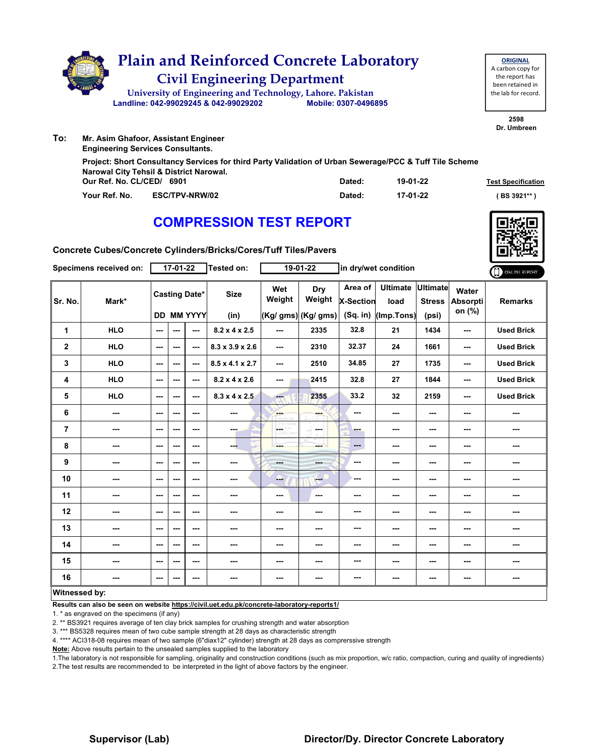

|                           | <b>Engineering Services Consultants.</b>                                                                                                           |        |          |                           |
|---------------------------|----------------------------------------------------------------------------------------------------------------------------------------------------|--------|----------|---------------------------|
|                           | Project: Short Consultancy Services for third Party Validation of Urban Sewerage/PCC & Tuff Tile Scheme<br>Narowal City Tehsil & District Narowal. |        |          |                           |
| Our Ref. No. CL/CED/ 6901 |                                                                                                                                                    | Dated: | 19-01-22 | <b>Test Specification</b> |
| Your Ref. No.             | <b>ESC/TPV-NRW/02</b>                                                                                                                              | Dated: | 17-01-22 | (BS 3921**)               |

# **COMPRESSION TEST REPORT**



**2598 Dr. Umbreen**

**ORIGINAL** A carbon copy for the report has been retained in the lab for record.

**Concrete Cubes/Concrete Cylinders/Bricks/Cores/Tuff Tiles/Pavers**

|                | Specimens received on:   |                          | 17-01-22 |                                                                                                | <b>Tested on:</b>           |                          | $19-01-22$                           |                                    | in dry/wet condition                  |                                           |                             | ONLINE REPORT     |
|----------------|--------------------------|--------------------------|----------|------------------------------------------------------------------------------------------------|-----------------------------|--------------------------|--------------------------------------|------------------------------------|---------------------------------------|-------------------------------------------|-----------------------------|-------------------|
| Sr. No.        | Mark*                    |                          |          | <b>Casting Date*</b><br><b>DD MM YYYY</b>                                                      | <b>Size</b><br>(in)         | Wet<br>Weight            | Dry<br>Weight<br>(Kg/ gms) (Kg/ gms) | Area of<br>X-Section<br>$(Sq.$ in) | <b>Ultimate</b><br>load<br>(Imp.Tons) | <b>Ultimate</b><br><b>Stress</b><br>(psi) | Water<br>Absorpti<br>on (%) | <b>Remarks</b>    |
| $\mathbf{1}$   | <b>HLO</b>               | $\sim$                   | ---      | ---                                                                                            | $8.2 \times 4 \times 2.5$   | ---                      | 2335                                 | 32.8                               | 21                                    | 1434                                      | ---                         | <b>Used Brick</b> |
| $\overline{2}$ | <b>HLO</b>               | $\overline{\phantom{a}}$ | ---      | ---                                                                                            | $8.3 \times 3.9 \times 2.6$ | $\overline{\phantom{a}}$ | 2310                                 | 32.37                              | 24                                    | 1661                                      | $\sim$                      | <b>Used Brick</b> |
| 3              | <b>HLO</b>               | $\overline{\phantom{a}}$ | ---      | $--$                                                                                           | $8.5 \times 4.1 \times 2.7$ | $--$                     | 2510                                 | 34.85                              | 27                                    | 1735                                      | ---                         | <b>Used Brick</b> |
| 4              | <b>HLO</b>               | $\sim$                   | ---      | $--$                                                                                           | $8.2 \times 4 \times 2.6$   | ---                      | 2415                                 | 32.8                               | 27                                    | 1844                                      | ---                         | <b>Used Brick</b> |
| 5              | <b>HLO</b>               | ---                      | ---      | $\frac{1}{2} \left( \frac{1}{2} \right) \left( \frac{1}{2} \right) \left( \frac{1}{2} \right)$ | $8.3 \times 4 \times 2.5$   | нe.                      | 2355                                 | 33.2                               | 32                                    | 2159                                      | ---                         | <b>Used Brick</b> |
| 6              | ---                      | $-$                      | ---      | $- - -$                                                                                        | ---                         | ---                      | ---                                  | ---                                | ---                                   | ---                                       | ---                         | ---               |
| $\overline{7}$ | $\cdots$                 | $\overline{\phantom{a}}$ | ---      | $--$                                                                                           | ---                         | w<br>÷<br><b>COV CD</b>  | محمد                                 | ---                                | ---                                   | ---                                       | ---                         | ---               |
| 8              | ---                      | $\overline{\phantom{a}}$ | ---      | ---                                                                                            | ---                         | ---                      | ment i                               | ---                                | ---                                   | ---                                       | ---                         | ---               |
| 9              | ---                      | $\overline{\phantom{a}}$ | ---      | $--$                                                                                           | ---                         | ---                      | $-1$                                 | ---                                | ---                                   | ---                                       | ---                         |                   |
| 10             | $\overline{\phantom{a}}$ | $\overline{\phantom{a}}$ | ---      | $--$                                                                                           | ---                         | ---                      | $-1$                                 | ---                                | ---                                   | ---                                       | ---                         | ---               |
| 11             | $\sim$ $\sim$            | $-$                      | ---      | $- - -$                                                                                        | ---                         | ---                      | ---                                  | ---                                | ---                                   | ---                                       | ---                         | ---               |
| 12             | ---                      | $--$                     | ---      | ---                                                                                            | ---                         | ---                      | ---                                  | ---                                | $--$                                  | ---                                       | ---                         | ---               |
| 13             | ---                      | $\overline{\phantom{a}}$ | ---      | ---                                                                                            | ---                         | ---                      | ---                                  | ---                                | ---                                   | ---                                       | ---                         | ---               |
| 14             | $\overline{\phantom{a}}$ | $\sim$                   | ---      | ---                                                                                            | ---                         | ---                      | ---                                  | ---                                | ---                                   | ---                                       | ---                         | ---               |
| 15             | ---                      | $\overline{\phantom{a}}$ | ---      | ---                                                                                            | ---                         | ---                      | ---                                  | ---                                | ---                                   | ---                                       | $\sim$ $\sim$               | ---               |
| 16             | ---                      | $\cdots$                 | ---      | ---                                                                                            | ---                         | ---                      | ---                                  | ---                                | ---                                   | ---                                       | ---                         | ---               |
| Witnessed by:  |                          |                          |          |                                                                                                |                             |                          |                                      |                                    |                                       |                                           |                             |                   |

#### **Witnessed by:**

**Results can also be seen on website https://civil.uet.edu.pk/concrete-laboratory-reports1/**

1. \* as engraved on the specimens (if any)

2. \*\* BS3921 requires average of ten clay brick samples for crushing strength and water absorption

3. \*\*\* BS5328 requires mean of two cube sample strength at 28 days as characteristic strength

4. \*\*\*\* ACI318-08 requires mean of two sample (6"diax12" cylinder) strength at 28 days as comprerssive strength

**Note:** Above results pertain to the unsealed samples supplied to the laboratory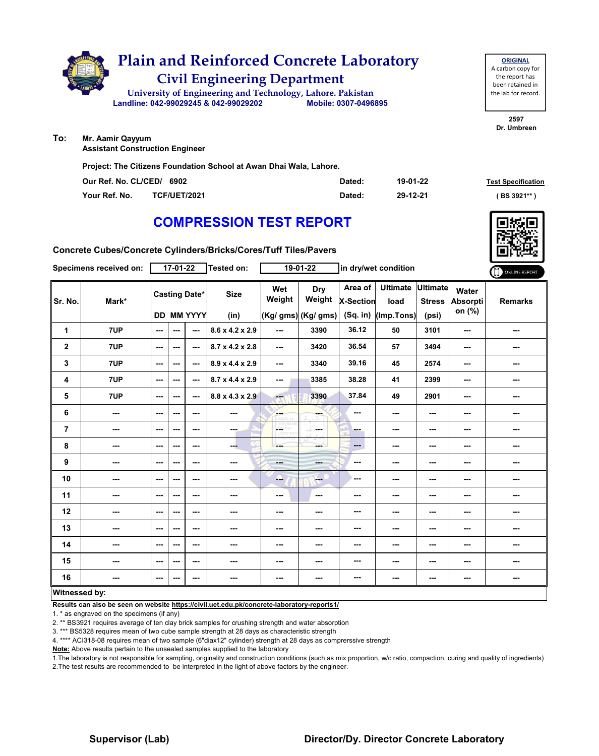

| <b>ORIGINAL</b>     |
|---------------------|
| A carbon copy for   |
| the report has      |
| been retained in    |
| the lab for record. |
|                     |

**2597 Dr. Umbreen**

**To: Mr. Aamir Qayyum**

**Assistant Construction Engineer**

**Project: The Citizens Foundation School at Awan Dhai Wala, Lahore.**

| Our Ref. No. CL/CED/ 6902 |                     | Dated: | 19-01-22 | <b>Test Specification</b> |
|---------------------------|---------------------|--------|----------|---------------------------|
| Your Ref. No.             | <b>TCF/UET/2021</b> | Dated: | 29-12-21 | ( BS 3921**               |

# **COMPRESSION TEST REPORT**



**Concrete Cubes/Concrete Cylinders/Bricks/Cores/Tuff Tiles/Pavers**

|                | Specimens received on: |      | 17-01-22 |                          | Tested on:                  |                          | 19-01-22             |                             | in dry/wet condition    |                                  |                   | ONLINE REPORT  |
|----------------|------------------------|------|----------|--------------------------|-----------------------------|--------------------------|----------------------|-----------------------------|-------------------------|----------------------------------|-------------------|----------------|
| Sr. No.        | Mark*                  |      |          | <b>Casting Date*</b>     | <b>Size</b>                 | Wet<br>Weight            | Dry<br>Weight        | Area of<br><b>X-Section</b> | <b>Ultimate</b><br>load | <b>Ultimate</b><br><b>Stress</b> | Water<br>Absorpti | <b>Remarks</b> |
|                |                        |      |          | <b>DD MM YYYY</b>        | (in)                        |                          | $(Kg/gms)$ (Kg/ gms) |                             | (Sq. in) (Imp.Tons)     | (psi)                            | on (%)            |                |
| 1              | 7UP                    | ---  | ---      | ---                      | 8.6 x 4.2 x 2.9             | $--$                     | 3390                 | 36.12                       | 50                      | 3101                             | ---               | ---            |
| $\mathbf 2$    | 7UP                    | $--$ | $--$     | ---                      | 8.7 x 4.2 x 2.8             | $\overline{\phantom{a}}$ | 3420                 | 36.54                       | 57                      | 3494                             | ---               | ---            |
| $\mathbf 3$    | 7UP                    | ---  | ---      | ---                      | $8.9 \times 4.4 \times 2.9$ | $--$                     | 3340                 | 39.16                       | 45                      | 2574                             | ---               | ---            |
| 4              | 7UP                    | $-$  | ---      | ---                      | 8.7 x 4.4 x 2.9             | ---                      | 3385                 | 38.28                       | 41                      | 2399                             | ---               | ---            |
| 5              | 7UP                    | ---  | ---      | $\overline{a}$           | $8.8 \times 4.3 \times 2.9$ | m.                       | 3390                 | 37.84                       | 49                      | 2901                             | ---               | ---            |
| 6              | ---                    | ---  | ---      | ---                      | ---                         | <b>Bar</b>               | ---                  | ---                         | ---                     | ---                              | ---               | ---            |
| $\overline{7}$ | ---                    | $--$ | ---      | ---                      | ---                         | LOETHY<br>LORD WH        | ---                  | ---                         | ---                     | $--$                             | ---               | ---            |
| 8              | ---                    | $--$ | ---      | ---                      | --5                         | ---                      | ---                  | ---                         | ---                     | $--$                             | ---               | ---            |
| 9              | ---                    | ---  | ---      | ---                      | ---                         | ---                      | ---                  | ---                         | ---                     | $--$                             | ---               | ---            |
| 10             | ---                    | $--$ | $--$     | ---                      | ---                         | --                       | <b>Here</b>          | ---                         | ---                     | $\overline{\phantom{a}}$         | ---               | ---            |
| 11             | ---                    | $--$ | ---      | ---                      | ---                         | ---                      | ---                  | ---                         | ---                     | ---                              | ---               | ---            |
| 12             | ---                    | ---  | ---      | ---                      | ---                         | ---                      | ---                  | ---                         | ---                     | ---                              | ---               | ---            |
| 13             | ---                    | ---  | ---      | $\overline{\phantom{a}}$ | ---                         | ---                      | ---                  | ---                         | ---                     | $--$                             | ---               | ---            |
| 14             | ---                    | ---  | ---      | ---                      | ---                         | ---                      | ---                  | ---                         | ---                     | ---                              | ---               | ---            |
| 15             | ---                    | $--$ | ---      | $\overline{\phantom{a}}$ | ---                         | ---                      | ---                  | ---                         | ---                     | ---                              | ---               | ---            |
| 16             | ---                    | ---  | ---      | ---                      | ---                         | ---                      | ---                  | ---                         | ---                     | ---                              | ---               | ---            |
| Witnessed by:  |                        |      |          |                          |                             |                          |                      |                             |                         |                                  |                   |                |

#### **Witnessed by:**

**Results can also be seen on website https://civil.uet.edu.pk/concrete-laboratory-reports1/**

1. \* as engraved on the specimens (if any)

2. \*\* BS3921 requires average of ten clay brick samples for crushing strength and water absorption

3. \*\*\* BS5328 requires mean of two cube sample strength at 28 days as characteristic strength

4. \*\*\*\* ACI318-08 requires mean of two sample (6"diax12" cylinder) strength at 28 days as comprerssive strength

**Note:** Above results pertain to the unsealed samples supplied to the laboratory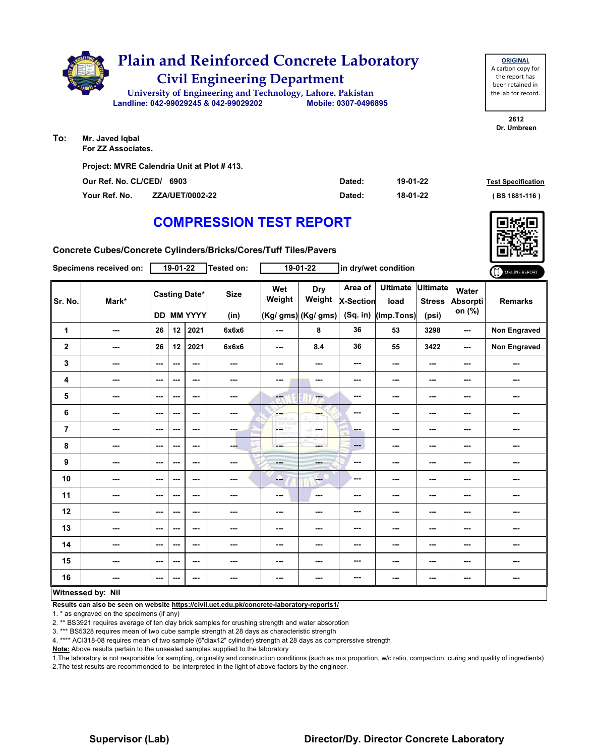

| Project: MVRE Calendria Unit at Plot #413. |                        |  |        |          |                           |  |  |  |  |
|--------------------------------------------|------------------------|--|--------|----------|---------------------------|--|--|--|--|
| Our Ref. No. CL/CED/ 6903                  |                        |  | Dated: | 19-01-22 | <b>Test Specification</b> |  |  |  |  |
| Your Ref. No.                              | <b>ZZA/UET/0002-22</b> |  | Dated: | 18-01-22 | (BS 1881-116)             |  |  |  |  |

# **COMPRESSION TEST REPORT**

**Concrete Cubes/Concrete Cylinders/Bricks/Cores/Tuff Tiles/Pavers**

|                | Specimens received on: |                          | $19-01-22$ |                                           | Tested on:               |                         | $19 - 01 - 22$                        |                                           | in dry/wet condition                  |                                           |                             | ONLINE REPORT       |
|----------------|------------------------|--------------------------|------------|-------------------------------------------|--------------------------|-------------------------|---------------------------------------|-------------------------------------------|---------------------------------------|-------------------------------------------|-----------------------------|---------------------|
| Sr. No.        | Mark*                  |                          |            | <b>Casting Date*</b><br><b>DD MM YYYY</b> | <b>Size</b><br>(in)      | Wet<br>Weight           | Dry<br>Weight<br>$(Kg/gms)$ (Kg/ gms) | Area of<br><b>X-Section</b><br>$(Sq.$ in) | <b>Ultimate</b><br>load<br>(Imp.Tons) | <b>Ultimate</b><br><b>Stress</b><br>(psi) | Water<br>Absorpti<br>on (%) | <b>Remarks</b>      |
| 1              | ---                    | 26                       | 12         | 2021                                      | 6x6x6                    | ---                     | 8                                     | 36                                        | 53                                    | 3298                                      | ---                         | <b>Non Engraved</b> |
| $\mathbf 2$    | ---                    | 26                       | 12         | 2021                                      | 6x6x6                    | ---                     | 8.4                                   | 36                                        | 55                                    | 3422                                      | ---                         | Non Engraved        |
| 3              | ---                    | ---                      | ---        | ---                                       | $\sim$                   | ---                     | ---                                   | ---                                       | ---                                   | $--$                                      | ---                         | ---                 |
| 4              | ---                    | $--$                     | ---        | $--$                                      | ---                      | ---                     | $\cdots$                              | ---                                       | ---                                   | ---                                       | ---                         |                     |
| 5              | ---                    | ---                      | ---        | ---                                       | ---                      | $\overline{\mathbf{c}}$ | ---                                   | ---                                       | ---                                   | ---                                       | ---                         | ---                 |
| 6              | $- - -$                | ---                      | ---        | ---                                       | ---                      | <b>SHOP</b>             | ---                                   | ---                                       | ---                                   | ---                                       | ---                         | ---                 |
| $\overline{7}$ | ---                    | $--$                     | ---        | $--$                                      | ---                      | LOST                    | ---                                   | ---                                       | ---                                   | ---                                       | ---                         | ---                 |
| 8              | ---                    | ---                      | ---        | $\overline{\phantom{a}}$                  | ---                      | ---                     |                                       | ---                                       | ---                                   | $--$                                      | ---                         | ---                 |
| 9              | ---                    | $\sim$ $\sim$            | ---        | ---                                       | ---                      | ---                     | ---                                   | ---                                       | ---                                   | ---                                       | ---                         | ---                 |
| 10             | ---                    | ---                      | ---        | ---                                       | $\frac{1}{2}$            | --                      | ---                                   | ---                                       | ---                                   | $--$                                      | ---                         | ---                 |
| 11             | ---                    | $\cdots$                 | ---        | $\cdots$                                  | $\overline{\phantom{a}}$ | ---                     | $\cdots$                              | ---                                       | ---                                   | ---                                       | ---                         | ---                 |
| 12             | $\sim$                 | $\sim$ $\sim$            | ---        | ---                                       | ---                      | ---                     | ---                                   | ---                                       | ---                                   | ---                                       | ---                         | ---                 |
| 13             | ---                    | $--$                     | ---        | ---                                       | ---                      | ---                     | ---                                   | ---                                       | ---                                   | ---                                       | ---                         | ---                 |
| 14             | ---                    | $--$                     | ---        | $--$                                      | ---                      | ---                     | ---                                   | ---                                       | ---                                   | ---                                       | ---                         | ---                 |
| 15             | ---                    | $\sim$ $\sim$            | ---        | ---                                       | ---                      | ---                     |                                       | ---                                       | ---                                   | ---                                       | ---                         |                     |
| 16             | ---                    | $\overline{\phantom{a}}$ | ---        | $\overline{\phantom{a}}$                  | $\sim$                   | ---                     | ---                                   | ---                                       | ---                                   | ---                                       | ---                         | ---                 |
|                | Witnessed by: Nil      |                          |            |                                           |                          |                         |                                       |                                           |                                       |                                           |                             |                     |

#### **Witnessed by: Nil**

**Results can also be seen on website https://civil.uet.edu.pk/concrete-laboratory-reports1/**

1. \* as engraved on the specimens (if any)

2. \*\* BS3921 requires average of ten clay brick samples for crushing strength and water absorption

3. \*\*\* BS5328 requires mean of two cube sample strength at 28 days as characteristic strength

4. \*\*\*\* ACI318-08 requires mean of two sample (6"diax12" cylinder) strength at 28 days as comprerssive strength

**Note:** Above results pertain to the unsealed samples supplied to the laboratory

1.The laboratory is not responsible for sampling, originality and construction conditions (such as mix proportion, w/c ratio, compaction, curing and quality of ingredients) 2.The test results are recommended to be interpreted in the light of above factors by the engineer.



**2612 Dr. Umbreen**

**ORIGINAL** A carbon copy for the report has been retained in the lab for record.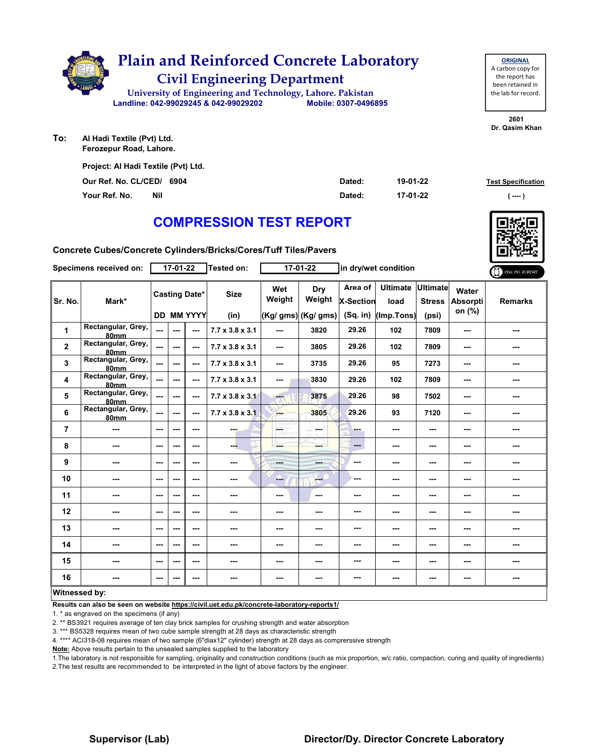

| <b>ORIGINAL</b>     |
|---------------------|
| A carbon copy for   |
| the report has      |
| been retained in    |
| the lab for record. |
|                     |

**2601 Dr. Qasim Khan**

**To: Al Hadi Textile (Pvt) Ltd. Ferozepur Road, Lahore.**

| Project: Al Hadi Textile (Pvt) Ltd. |        |          |                           |
|-------------------------------------|--------|----------|---------------------------|
| Our Ref. No. CL/CED/ 6904           | Dated: | 19-01-22 | <b>Test Specification</b> |
| Nil<br>Your Ref. No.                | Dated: | 17-01-22 | ( ----                    |

### **COMPRESSION TEST REPORT**

**Concrete Cubes/Concrete Cylinders/Bricks/Cores/Tuff Tiles/Pavers**

|                | Specimens received on:            |                | 17-01-22 |                      | <b>Tested on:</b>           |                         | $17 - 01 - 22$                                                                                                                                                                                                                                                                                                                                                                                                        |                             | in dry/wet condition    |                                  |                   | ONLINE REPORT  |
|----------------|-----------------------------------|----------------|----------|----------------------|-----------------------------|-------------------------|-----------------------------------------------------------------------------------------------------------------------------------------------------------------------------------------------------------------------------------------------------------------------------------------------------------------------------------------------------------------------------------------------------------------------|-----------------------------|-------------------------|----------------------------------|-------------------|----------------|
| Sr. No.        | Mark*                             |                |          | <b>Casting Date*</b> | <b>Size</b>                 | Wet<br>Weight           | Dry<br>Weight                                                                                                                                                                                                                                                                                                                                                                                                         | Area of<br><b>X-Section</b> | <b>Ultimate</b><br>load | <b>Ultimate</b><br><b>Stress</b> | Water<br>Absorpti | <b>Remarks</b> |
|                |                                   |                |          | DD MM YYYY           | (in)                        |                         | (Kg/ gms) (Kg/ gms)                                                                                                                                                                                                                                                                                                                                                                                                   | (Sq. in)                    | (Imp.Tons)              | (psi)                            | on (%)            |                |
| 1              | Rectangular, Grey,<br><b>80mm</b> | ---            | ---      | ---                  | $7.7 \times 3.8 \times 3.1$ | $--$                    | 3820                                                                                                                                                                                                                                                                                                                                                                                                                  | 29.26                       | 102                     | 7809                             | ---               | ---            |
| $\overline{2}$ | Rectangular, Grey,<br>80mm        | ---            | ---      | ---                  | $7.7 \times 3.8 \times 3.1$ | $- - -$                 | 3805                                                                                                                                                                                                                                                                                                                                                                                                                  | 29.26                       | 102                     | 7809                             | ---               | ---            |
| 3              | Rectangular, Grey,<br>80mm        | $\overline{a}$ | $- - -$  | ---                  | $7.7 \times 3.8 \times 3.1$ | $- - -$                 | 3735                                                                                                                                                                                                                                                                                                                                                                                                                  | 29.26                       | 95                      | 7273                             | ---               | ---            |
| 4              | Rectangular, Grey,<br>80mm        | ---            | ---      | ---                  | $7.7 \times 3.8 \times 3.1$ | ---                     | 3830                                                                                                                                                                                                                                                                                                                                                                                                                  | 29.26                       | 102                     | 7809                             | ---               | ---            |
| 5              | Rectangular, Grey,<br>80mm        | ---            | ---      | ---                  | $7.7 \times 3.8 \times 3.1$ | mar.                    | 3875                                                                                                                                                                                                                                                                                                                                                                                                                  | 29.26                       | 98                      | 7502                             | ---               | ---            |
| 6              | Rectangular, Grey,<br>80mm        | ---            | $--$     | ---                  | $7.7 \times 3.8 \times 3.1$ | ---                     | 3805                                                                                                                                                                                                                                                                                                                                                                                                                  | 29.26                       | 93                      | 7120                             | ---               | ---            |
| $\overline{7}$ | ---                               | ---            | ---      | ---                  | ---                         | $\frac{\log n}{\log n}$ | ---                                                                                                                                                                                                                                                                                                                                                                                                                   | ---                         | ---                     | ---                              | ---               | ---            |
| 8              | ---                               | $--$           | ---      | ---                  | ---                         | ---                     | ---                                                                                                                                                                                                                                                                                                                                                                                                                   | ---                         | ---                     | $--$                             | ---               | ---            |
| 9              | ---                               | ---            | ---      | ---                  | ---                         | <b>Head</b>             | ---                                                                                                                                                                                                                                                                                                                                                                                                                   | ---                         | ---                     | $--$                             | ---               | ---            |
| 10             | ---                               | ---            | ---      | ---                  | ---                         | --                      | $\frac{1}{1-\frac{1}{1-\frac{1}{1-\frac{1}{1-\frac{1}{1-\frac{1}{1-\frac{1}{1-\frac{1}{1-\frac{1}{1-\frac{1}{1-\frac{1}{1-\frac{1}{1-\frac{1}{1-\frac{1}{1-\frac{1}{1-\frac{1}{1-\frac{1}{1-\frac{1}{1-\frac{1}{1-\frac{1}{1-\frac{1}{1-\frac{1}{1-\frac{1}{1-\frac{1}{1-\frac{1}{1-\frac{1}{1-\frac{1}{1-\frac{1}{1-\frac{1}{1-\frac{1}{1-\frac{1}{1-\frac{1}{1-\frac{1}{1-\frac{1}{1-\frac{1}{1-\frac{1}{1-\frac{1$ | ---                         | ---                     | ---                              | ---               | ---            |
| 11             | ---                               | $--$           | ---      | ---                  | ---                         | $--$                    | ---                                                                                                                                                                                                                                                                                                                                                                                                                   | ---                         | ---                     | $--$                             | ---               | ---            |
| 12             | ---                               | ---            | ---      | ---                  | ---                         | ---                     | ---                                                                                                                                                                                                                                                                                                                                                                                                                   | ---                         | ---                     | ---                              | ---               | ---            |
| 13             | ---                               | ---            | ---      | ---                  | ---                         | ---                     | ---                                                                                                                                                                                                                                                                                                                                                                                                                   | ---                         | ---                     | ---                              | ---               | ---            |
| 14             | ---                               | ---            | ---      | ---                  | ---                         | ---                     | ---                                                                                                                                                                                                                                                                                                                                                                                                                   | ---                         | ---                     | $--$                             | ---               | ---            |
| 15             | ---                               | ---            | ---      | ---                  | ---                         | ---                     | ---                                                                                                                                                                                                                                                                                                                                                                                                                   | ---                         | ---                     | ---                              | ---               | ---            |
| 16             | ---                               | ---            | ---      | ---                  | ---                         | ---                     | ---                                                                                                                                                                                                                                                                                                                                                                                                                   | ---                         | ---                     | ---                              | ---               | ---            |
| Witnessed by:  |                                   |                |          |                      |                             |                         |                                                                                                                                                                                                                                                                                                                                                                                                                       |                             |                         |                                  |                   |                |

### **Results can also be seen on website https://civil.uet.edu.pk/concrete-laboratory-reports1/**

1. \* as engraved on the specimens (if any)

2. \*\* BS3921 requires average of ten clay brick samples for crushing strength and water absorption

3. \*\*\* BS5328 requires mean of two cube sample strength at 28 days as characteristic strength

4. \*\*\*\* ACI318-08 requires mean of two sample (6"diax12" cylinder) strength at 28 days as comprerssive strength

**Note:** Above results pertain to the unsealed samples supplied to the laboratory

1.The laboratory is not responsible for sampling, originality and construction conditions (such as mix proportion, w/c ratio, compaction, curing and quality of ingredients) 2.The test results are recommended to be interpreted in the light of above factors by the engineer.

### **Supervisor (Lab) Director/Dy. Director Concrete Laboratory**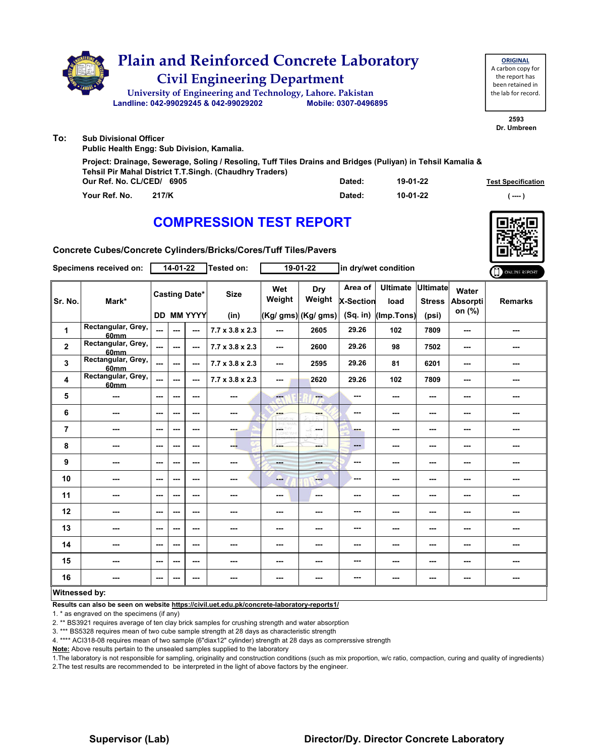|     | <b>Plain and Reinforced Concrete Laboratory</b><br><b>Civil Engineering Department</b><br>University of Engineering and Technology, Lahore. Pakistan<br>Landline: 042-99029245 & 042-99029202       | Mobile: 0307-0496895 |          | <b>ORIGINAL</b><br>A carbon copy for<br>the report has<br>been retained in<br>the lab for record. |
|-----|-----------------------------------------------------------------------------------------------------------------------------------------------------------------------------------------------------|----------------------|----------|---------------------------------------------------------------------------------------------------|
|     |                                                                                                                                                                                                     |                      |          | 2593<br>Dr. Umbreen                                                                               |
| To: | <b>Sub Divisional Officer</b><br>Public Health Engg: Sub Division, Kamalia.                                                                                                                         |                      |          |                                                                                                   |
|     | Project: Drainage, Sewerage, Soling / Resoling, Tuff Tiles Drains and Bridges (Puliyan) in Tehsil Kamalia &<br>Tehsil Pir Mahal District T.T.Singh. (Chaudhry Traders)<br>Our Ref. No. CL/CED/ 6905 | Dated:               | 19-01-22 | <b>Test Specification</b>                                                                         |

**Your Ref. No. 217/K Dated: ( ---- )**

### **COMPRESSION TEST REPORT**



**10-01-22**

**Concrete Cubes/Concrete Cylinders/Bricks/Cores/Tuff Tiles/Pavers**

|                         | <b>Specimens received on:</b> |                | 14-01-22 |                          | Tested on:                  |                                 | 19-01-22            |                             | in dry/wet condition      |               |                             | ONLINE REPORT  |
|-------------------------|-------------------------------|----------------|----------|--------------------------|-----------------------------|---------------------------------|---------------------|-----------------------------|---------------------------|---------------|-----------------------------|----------------|
| Sr. No.                 | Mark*                         |                |          | <b>Casting Date*</b>     | <b>Size</b>                 | Wet<br>Weight                   | Dry<br>Weight       | Area of<br><b>X-Section</b> | Ultimate Ultimate<br>load | <b>Stress</b> | Water<br>Absorpti<br>on (%) | <b>Remarks</b> |
|                         |                               |                |          | <b>DD MM YYYY</b>        | (in)                        |                                 | (Kg/ gms) (Kg/ gms) | (Sq. in)                    | (Imp.Tons)                | (psi)         |                             |                |
| 1                       | Rectangular, Grey,<br>60mm    | ---            | ---      | ---                      | $7.7 \times 3.8 \times 2.3$ | $\sim$ $\sim$                   | 2605                | 29.26                       | 102                       | 7809          | $\overline{\phantom{a}}$    | ---            |
| $\overline{\mathbf{2}}$ | Rectangular, Grey,<br>60mm    | ---            | ---      | ---                      | $7.7 \times 3.8 \times 2.3$ | $\sim$ $\sim$                   | 2600                | 29.26                       | 98                        | 7502          | $\sim$                      | ---            |
| 3                       | Rectangular, Grey,<br>60mm    | ---            | ---      | ---                      | $7.7 \times 3.8 \times 2.3$ | $\sim$ $\sim$                   | 2595                | 29.26                       | 81                        | 6201          | $\overline{a}$              | ---            |
| 4                       | Rectangular, Grey,<br>60mm    | $\overline{a}$ | $- - -$  | ---                      | $7.7 \times 3.8 \times 2.3$ | $\sim$ $\sim$                   | 2620                | 29.26                       | 102                       | 7809          | $\sim$                      | ---            |
| 5                       | ---                           | ---            | ---      | ---                      | ---                         | <b>Fee</b>                      | ---                 | $-$                         | ---                       | ---           | ---                         | ---            |
| 6                       | ---                           | $\sim$         | $--$     | ---                      | ---                         | <b>SHOP</b><br><b>ZEITAPEIA</b> | ---                 | $\qquad \qquad \cdots$      | ---                       | $--$          | ---                         | ---            |
| $\overline{\mathbf{r}}$ | ---                           | $-$            | ---      | ---                      | ---                         | LGS.<br>HY.                     | la sua              | ш.                          | ---                       | ---           | ---                         | ---            |
| 8                       | ---                           | $--$           | $--$     | $\overline{\phantom{a}}$ | ---                         | ---                             | ---                 | $\qquad \qquad -$           | $--$                      | ---           | $\overline{\phantom{a}}$    | ---            |
| 9                       | ---                           | $-$            | ---      | ---                      |                             | <b>STAR</b>                     | ---                 | $\overline{\phantom{a}}$    | ---                       | ---           | ---                         | ---            |
| 10                      | ---                           | $--$           | $--$     | ---                      | ---                         | ---                             | ---                 | ---                         | $--$                      | ---           | $\sim$                      | ---            |
| 11                      | ---                           | ---            | ---      | ---                      | ---                         | $\overline{\phantom{a}}$        | ---                 | ---                         | ---                       | ---           | ---                         | ---            |
| 12                      | ---                           | ---            | ---      | ---                      | ---                         | ---                             | ---                 | ---                         | ---                       | ---           | ---                         | ---            |
| 13                      | ---                           | ---            | ---      | ---                      |                             | ---                             | ---                 | ---                         | ---                       | ---           | $\overline{\phantom{a}}$    | ---            |
| 14                      | ---                           | ---            | ---      | $\overline{\phantom{a}}$ | ---                         | ---                             | ---                 | ---                         | ---                       | ---           | ---                         | ---            |
| 15                      | ---                           | ---            | ---      | ---                      | ---                         | ---                             | ---                 | ---                         | ---                       | ---           | ---                         | ---            |
| 16                      |                               | ---            | ---      | ---                      | ---                         | ---                             | ---                 | ---                         | ---                       | ---           | ---                         | ---            |
| Witnessed by:           |                               |                |          |                          |                             |                                 |                     |                             |                           |               |                             |                |

#### **Witnessed by:**

**Results can also be seen on website https://civil.uet.edu.pk/concrete-laboratory-reports1/**

1. \* as engraved on the specimens (if any)

2. \*\* BS3921 requires average of ten clay brick samples for crushing strength and water absorption

3. \*\*\* BS5328 requires mean of two cube sample strength at 28 days as characteristic strength

4. \*\*\*\* ACI318-08 requires mean of two sample (6"diax12" cylinder) strength at 28 days as comprerssive strength

**Note:** Above results pertain to the unsealed samples supplied to the laboratory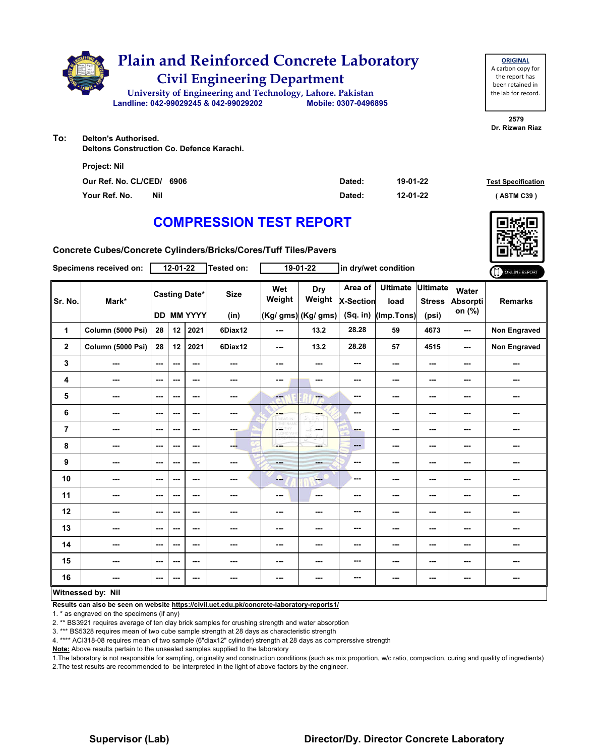

| <b>ORIGINAL</b>     |
|---------------------|
| A carbon copy for   |
| the report has      |
| been retained in    |
| the lab for record. |
|                     |

**2579 Dr. Rizwan Riaz**

**To: Delton's Authorised. Deltons Construction Co. Defence Karachi.**

| <b>Project: Nil</b>         |        |          |                           |
|-----------------------------|--------|----------|---------------------------|
| Our Ref. No. CL/CED/ 6906   | Dated: | 19-01-22 | <b>Test Specification</b> |
| Your Ref. No.<br><b>Nil</b> | Dated: | 12-01-22 | (ASTM C39)                |

# **COMPRESSION TEST REPORT**

**Concrete Cubes/Concrete Cylinders/Bricks/Cores/Tuff Tiles/Pavers**

|                  | Specimens received on:   |                          | 12-01-22 |                                    | Tested on:          |                          | 19-01-22                             |                                  |                                       | in dry/wet condition                      |                                    |                     |
|------------------|--------------------------|--------------------------|----------|------------------------------------|---------------------|--------------------------|--------------------------------------|----------------------------------|---------------------------------------|-------------------------------------------|------------------------------------|---------------------|
| Sr. No.          | Mark*                    |                          |          | <b>Casting Date*</b><br>DD MM YYYY | <b>Size</b><br>(in) | Wet<br>Weight            | Dry<br>Weight<br>(Kg/ gms) (Kg/ gms) | Area of<br>X-Section<br>(Sq. in) | <b>Ultimate</b><br>load<br>(Imp.Tons) | <b>Ultimate</b><br><b>Stress</b><br>(psi) | Water<br><b>Absorpti</b><br>on (%) | <b>Remarks</b>      |
| $\mathbf{1}$     | Column (5000 Psi)        | 28                       | 12       | 2021                               | 6Diax12             | ---                      | 13.2                                 | 28.28                            | 59                                    | 4673                                      | ---                                | <b>Non Engraved</b> |
| $\mathbf{2}$     | Column (5000 Psi)        | 28                       | 12       | 2021                               | 6Diax12             | ---                      | 13.2                                 | 28.28                            | 57                                    | 4515                                      | ---                                | <b>Non Engraved</b> |
| 3                | ---                      | $\overline{\phantom{a}}$ | ---      | $--$                               | ---                 | ---                      | ---                                  | ---                              | ---                                   | ---                                       | ---                                | ---                 |
| 4                | ---                      | $\sim$                   | ---      | ---                                | ---                 | ---                      | ---                                  | ---                              | ---                                   | ---                                       | ---                                | ---                 |
| 5                | ---                      | $\overline{\phantom{a}}$ | ---      | ---                                | ---                 | ---                      | ---                                  | ---                              | ---                                   | ---                                       | ---                                | ---                 |
| 6                | ---                      | $--$                     | ---      | ---                                | ---                 | <b>SHOP</b><br>lanari is | ---                                  | ---                              | ---                                   | ---                                       | ---                                | ---                 |
| $\overline{7}$   | ---                      | $\overline{\phantom{a}}$ | ---      | ---                                | ---                 | <b>OETHY</b>             | in men                               | ---                              | ---                                   | ---                                       | ---                                | ---                 |
| 8                | ---                      | $\sim$                   | ---      | ---                                | ---                 | ---                      | ---                                  | ---                              | ---                                   | ---                                       | ---                                | ---                 |
| $\boldsymbol{9}$ | ---                      | $\sim$ $\sim$            | ---      | ---                                | ---                 | <b>Basic</b>             | ---                                  | ---                              | ---                                   | ---                                       | ---                                | ---                 |
| 10               | ---                      | $\sim$                   | ---      | $--$                               | ---                 | --                       | <b>Fee</b>                           | ---                              | ---                                   | ---                                       | ---                                | ---                 |
| 11               | ---                      | $\sim$                   | ---      | ---                                | ---                 | ---                      | ---                                  | ---                              | ---                                   | ---                                       | ---                                | ---                 |
| 12               | ---                      | $\cdots$                 | ---      | ---                                | ---                 | ---                      | ---                                  | ---                              | ---                                   | ---                                       | ---                                | ---                 |
| 13               | ---                      | ---                      | ---      | ---                                | ---                 | ---                      | ---                                  | ---                              | ---                                   | ---                                       | ---                                | ---                 |
| 14               | ---                      | $\overline{\phantom{a}}$ | ---      | ---                                | ---                 | ---                      | ---                                  | ---                              | ---                                   | ---                                       | ---                                | ---                 |
| 15               | ---                      | $\sim$                   | ---      | ---                                | ---                 | ---                      | ---                                  | ---                              | ---                                   | ---                                       | ---                                | ---                 |
| 16               | ---                      | $\sim$                   | ---      | ---                                | ---                 | ---                      | ---                                  | ---                              | ---                                   | ---                                       | ---                                | ---                 |
|                  | <b>Witnessed by: Nil</b> |                          |          |                                    |                     |                          |                                      |                                  |                                       |                                           |                                    |                     |

### **Witnessed by: Nil**

**Results can also be seen on website https://civil.uet.edu.pk/concrete-laboratory-reports1/**

1. \* as engraved on the specimens (if any)

2. \*\* BS3921 requires average of ten clay brick samples for crushing strength and water absorption

3. \*\*\* BS5328 requires mean of two cube sample strength at 28 days as characteristic strength

4. \*\*\*\* ACI318-08 requires mean of two sample (6"diax12" cylinder) strength at 28 days as comprerssive strength

**Note:** Above results pertain to the unsealed samples supplied to the laboratory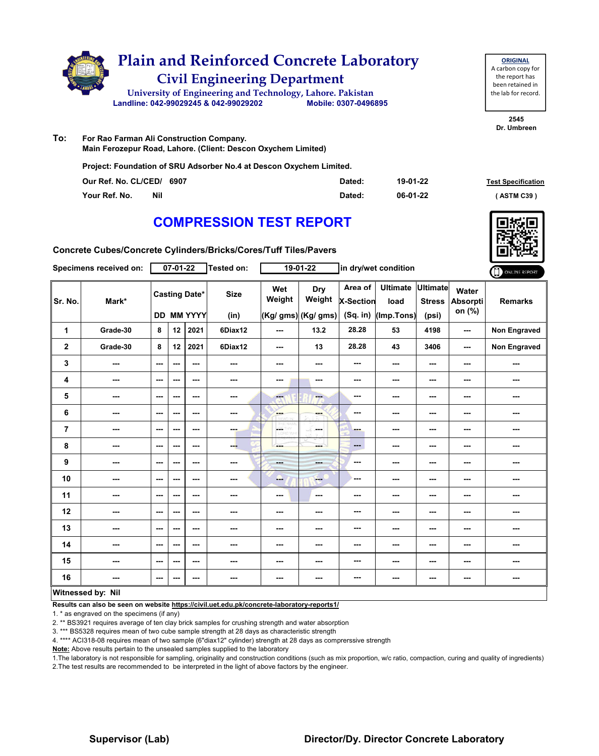

| <b>ORIGINAL</b>     |
|---------------------|
| A carbon copy for   |
| the report has      |
| been retained in    |
| the lab for record. |
|                     |

**2545 Dr. Umbreen**

#### **To: For Rao Farman Ali Construction Company. Main Ferozepur Road, Lahore. (Client: Descon Oxychem Limited)**

**Project: Foundation of SRU Adsorber No.4 at Descon Oxychem Limited.**

| Our Ref. No. CL/CED/ 6907 | Dated: | 19-01-22 | <b>Test Specification</b> |
|---------------------------|--------|----------|---------------------------|
| Your Ref. No.<br>Nil      | Dated: | 06-01-22 | (ASTM C39)                |

### **COMPRESSION TEST REPORT**



**Concrete Cubes/Concrete Cylinders/Bricks/Cores/Tuff Tiles/Pavers**

|                | <b>Specimens received on:</b> |               | 07-01-22 |                                    | Tested on:          |                  | 19-01-22                             |                             | in dry/wet condition                            |                                           |                                    | ONLINE REPORT  |
|----------------|-------------------------------|---------------|----------|------------------------------------|---------------------|------------------|--------------------------------------|-----------------------------|-------------------------------------------------|-------------------------------------------|------------------------------------|----------------|
| Sr. No.        | Mark*                         |               |          | <b>Casting Date*</b><br>DD MM YYYY | <b>Size</b><br>(in) | Wet<br>Weight    | Dry<br>Weight<br>(Kg/ gms) (Kg/ gms) | Area of<br><b>X-Section</b> | <b>Ultimate</b><br>load<br>(Sq. in) (Imp. Tons) | <b>Ultimate</b><br><b>Stress</b><br>(psi) | Water<br><b>Absorpti</b><br>on (%) | <b>Remarks</b> |
| $\mathbf{1}$   | Grade-30                      | 8             | 12       | 2021                               | 6Diax12             | ---              | 13.2                                 | 28.28                       | 53                                              | 4198                                      | ---                                | Non Engraved   |
| $\mathbf{2}$   | Grade-30                      | 8             | 12       | 2021                               | 6Diax12             | ---              | 13                                   | 28.28                       | 43                                              | 3406                                      | ---                                | Non Engraved   |
| 3              | ---                           | $--$          | ---      | $\overline{\phantom{a}}$           | ---                 | ---              | ---                                  | ---                         | ---                                             | ---                                       | ---                                | ---            |
| 4              | ---                           | ---           | ---      | ---                                | ---                 | ---              | ---                                  | ---                         | ---                                             | ---                                       | ---                                | ---            |
| 5              | ---                           | ---           | ---      | ---                                | ---                 | ---              | ---                                  | ---                         | ---                                             | ---                                       | ---                                | ---            |
| 6              | ---                           | $--$          | ---      | $\overline{\phantom{a}}$           | ---                 | ---              | ---                                  | ---                         | ---                                             | $--$                                      | ---                                | ---            |
| $\overline{7}$ | ---                           | ---           | ---      | $\overline{\phantom{a}}$           | ---                 | CETHY<br>LORD WY | ---                                  | ---                         | ---                                             | ---                                       | ---                                | ---            |
| 8              | ---                           | $--$          | ---      | ---                                | ---                 |                  | ---                                  | ---                         | ---                                             | ---                                       | ---                                | ---            |
| 9              | ---                           | ---           | ---      | ---                                | ---                 | ---              | ---                                  | ---                         | ---                                             | ---                                       | ---                                | ---            |
| 10             | ---                           | $\sim$        | ---      | ---                                | ---                 | ---              | $-1$                                 | ---                         | ---                                             | $--$                                      | ---                                | ---            |
| 11             | ---                           | $\sim$ $\sim$ | ---      | $\sim$                             | ---                 | ---              | ---                                  | ---                         | ---                                             | ---                                       | ---                                | ---            |
| 12             | ---                           | $--$          | ---      | ---                                | ---                 | ---              | ---                                  | ---                         | ---                                             | $--$                                      | ---                                | ---            |
| 13             | ---                           | ---           | ---      | ---                                | ---                 | ---              | ---                                  | ---                         | ---                                             | ---                                       | ---                                | ---            |
| 14             | ---                           | $--$          | $--$     | ---                                | ---                 | ---              | ---                                  | ---                         | ---                                             | $--$                                      | ---                                | ---            |
| 15             | ---                           | $--$          | ---      | ---                                | ---                 | ---              | ---                                  | ---                         | ---                                             | ---                                       | ---                                | ---            |
| 16             | ---                           | $--$          | ---      | ---                                | ---                 | ---              | ---                                  | ---                         | ---                                             | $--$                                      | ---                                | ---            |
|                | Witnessed by: Nil             |               |          |                                    |                     |                  |                                      |                             |                                                 |                                           |                                    |                |

#### **Witnessed by: Nil**

**Results can also be seen on website https://civil.uet.edu.pk/concrete-laboratory-reports1/**

1. \* as engraved on the specimens (if any)

2. \*\* BS3921 requires average of ten clay brick samples for crushing strength and water absorption

3. \*\*\* BS5328 requires mean of two cube sample strength at 28 days as characteristic strength

4. \*\*\*\* ACI318-08 requires mean of two sample (6"diax12" cylinder) strength at 28 days as comprerssive strength

**Note:** Above results pertain to the unsealed samples supplied to the laboratory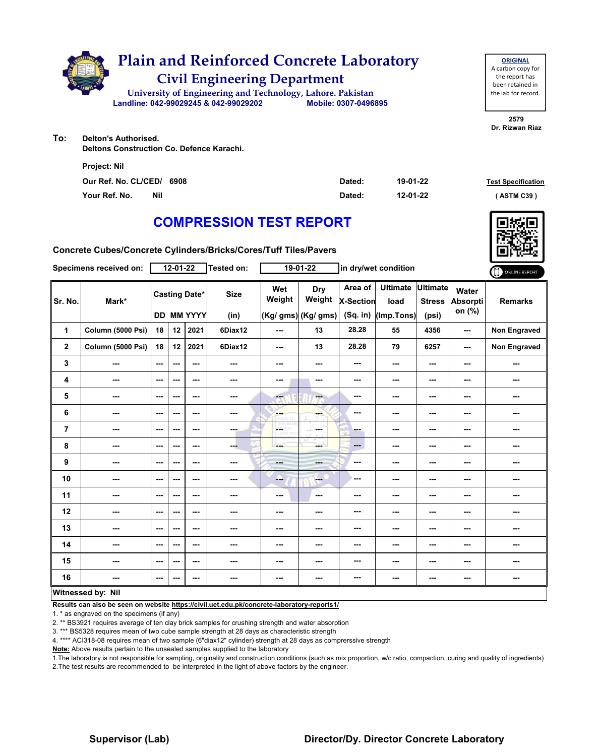

**ORIGINAL** A carbon copy for the report has been retained in the lab for record.

**2579 Dr. Rizwan Riaz**

**To: Delton's Authorised. Deltons Construction Co. Defence Karachi.**

| <b>Project: Nil</b>         |        |          |                           |
|-----------------------------|--------|----------|---------------------------|
| Our Ref. No. CL/CED/ 6908   | Dated: | 19-01-22 | <b>Test Specification</b> |
| Your Ref. No.<br><b>Nil</b> | Dated: | 12-01-22 | ( $ASTM C39$ )            |

# **COMPRESSION TEST REPORT**

**Concrete Cubes/Concrete Cylinders/Bricks/Cores/Tuff Tiles/Pavers**

|                | Specimens received on:   |        | 12-01-22                 |                                           | Tested on:          |                   | $19-01-22$                                  |                                         | in dry/wet condition                  |                                           |                             | ONLINE REPORT  |
|----------------|--------------------------|--------|--------------------------|-------------------------------------------|---------------------|-------------------|---------------------------------------------|-----------------------------------------|---------------------------------------|-------------------------------------------|-----------------------------|----------------|
| Sr. No.        | Mark*                    |        |                          | <b>Casting Date*</b><br><b>DD MM YYYY</b> | <b>Size</b><br>(in) | Wet<br>Weight     | <b>Dry</b><br>Weight<br>(Kg/ gms) (Kg/ gms) | Area of<br><b>X-Section</b><br>(Sq. in) | <b>Ultimate</b><br>load<br>(Imp.Tons) | <b>Ultimate</b><br><b>Stress</b><br>(psi) | Water<br>Absorpti<br>on (%) | <b>Remarks</b> |
| 1              | Column (5000 Psi)        | 18     | 12                       | 2021                                      | 6Diax12             | ---               | 13                                          | 28.28                                   | 55                                    | 4356                                      | ---                         | Non Engraved   |
| $\mathbf 2$    | Column (5000 Psi)        | 18     | 12                       | 2021                                      | 6Diax12             | $--$              | 13                                          | 28.28                                   | 79                                    | 6257                                      | $\sim$                      | Non Engraved   |
| 3              |                          | ---    | ---                      | ---                                       | ---                 | ---               | ---                                         | ---                                     | ---                                   | ---                                       | ---                         | ---            |
| 4              | ---                      | $\sim$ | $\sim$ $\sim$            | $--$                                      | ---                 | ---               | ---                                         | ---                                     | ---                                   | ---                                       | ---                         | ---            |
| 5              | ---                      | $\sim$ | ---                      | ---                                       | ---                 | <b>Heat</b>       | ---                                         | ---                                     | ---                                   | ---                                       | ---                         | ---            |
| 6              | ---                      | ---    | ---                      | ---                                       | ---                 | <b>AMP</b>        | ---                                         | ---                                     | ---                                   | ---                                       | ---                         | ---            |
| $\overline{7}$ | ---                      | ---    | $\overline{\phantom{a}}$ | $--$                                      | ---                 | LOETHY<br>LORD WH | ---                                         | ---                                     | ---                                   | ---                                       |                             | ---            |
| 8              | ---                      | ---    | $\overline{\phantom{a}}$ | $--$                                      | ---                 |                   | ---                                         | $\qquad \qquad \cdots$                  | ---                                   | ---                                       | ---                         | ---            |
| 9              | ---                      | ---    | $\overline{\phantom{a}}$ | $--$                                      | ---                 | ---               | ---                                         | ---                                     | ---                                   | ---                                       |                             | ---            |
| 10             | ---                      | ---    | ---                      | ---                                       |                     | --                | ---                                         | ---                                     | ---                                   | ---                                       |                             | ---            |
| 11             | ---                      | ---    | $\overline{\phantom{a}}$ | $--$                                      |                     | ---               | $\overline{\phantom{a}}$                    | ---                                     | ---                                   | ---                                       |                             | ---            |
| 12             | ---                      | ---    | ---                      | ---                                       | ---                 | ---               | ---                                         | ---                                     | ---                                   | ---                                       | ---                         | ---            |
| 13             | ---                      | ---    | ---                      | ---                                       |                     | ---               | ---                                         | ---                                     | ---                                   | ---                                       | ---                         | ---            |
| 14             | ---                      | ---    | ---                      | ---                                       | ---                 | ---               | ---                                         | ---                                     | ---                                   | ---                                       | ---                         | ---            |
| 15             | ---                      | ---    | $\sim$ $\sim$            | $--$                                      | ---                 | ---               | ---                                         | ---                                     | ---                                   | ---                                       | ---                         | ---            |
| 16             | ---                      | ---    | ---                      | ---                                       | ---                 | ---               |                                             | ---                                     | ---                                   | ---                                       | ---                         |                |
|                | <b>Witnessed by: Nil</b> |        |                          |                                           |                     |                   |                                             |                                         |                                       |                                           |                             |                |

#### **Witnessed by: Nil**

**Results can also be seen on website https://civil.uet.edu.pk/concrete-laboratory-reports1/**

1. \* as engraved on the specimens (if any)

2. \*\* BS3921 requires average of ten clay brick samples for crushing strength and water absorption

3. \*\*\* BS5328 requires mean of two cube sample strength at 28 days as characteristic strength

4. \*\*\*\* ACI318-08 requires mean of two sample (6"diax12" cylinder) strength at 28 days as comprerssive strength

**Note:** Above results pertain to the unsealed samples supplied to the laboratory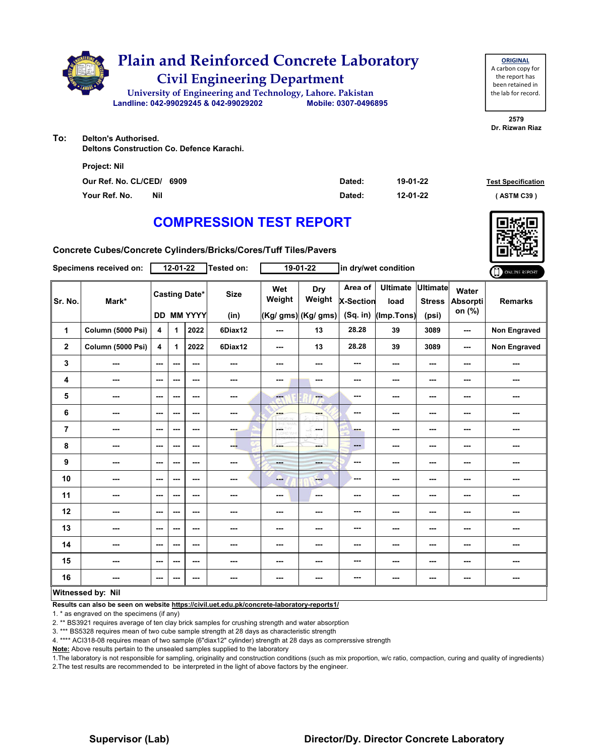

| <b>ORIGINAL</b>     |
|---------------------|
| A carbon copy for   |
| the report has      |
| been retained in    |
| the lab for record. |
|                     |

**2579 Dr. Rizwan Riaz**

**To: Delton's Authorised. Deltons Construction Co. Defence Karachi.**

| <b>Project: Nil</b>       |        |          |                           |
|---------------------------|--------|----------|---------------------------|
| Our Ref. No. CL/CED/ 6909 | Dated: | 19-01-22 | <b>Test Specification</b> |
| Your Ref. No.<br>Nil      | Dated: | 12-01-22 | (ASTM C39)                |

# **COMPRESSION TEST REPORT**

**Concrete Cubes/Concrete Cylinders/Bricks/Cores/Tuff Tiles/Pavers**

|                          | Specimens received on: |                          | 12-01-22                 |                                           | <b>Tested on:</b>   |                                    | 19-01-22                             | in dry/wet condition                      |                                       |                                           | ONLINE REPORT               |                     |
|--------------------------|------------------------|--------------------------|--------------------------|-------------------------------------------|---------------------|------------------------------------|--------------------------------------|-------------------------------------------|---------------------------------------|-------------------------------------------|-----------------------------|---------------------|
| Sr. No.                  | Mark*                  |                          |                          | <b>Casting Date*</b><br><b>DD MM YYYY</b> | <b>Size</b><br>(in) | Wet<br>Weight                      | Dry<br>Weight<br>(Kg/ gms) (Kg/ gms) | Area of<br><b>X-Section</b><br>$(Sq.$ in) | <b>Ultimate</b><br>load<br>(Imp.Tons) | <b>Ultimate</b><br><b>Stress</b><br>(psi) | Water<br>Absorpti<br>on (%) | <b>Remarks</b>      |
| 1                        | Column (5000 Psi)      | 4                        | 1                        | 2022                                      | 6Diax12             | ---                                | 13                                   | 28.28                                     | 39                                    | 3089                                      | ---                         | Non Engraved        |
| $\mathbf 2$              | Column (5000 Psi)      | $\overline{\mathbf{4}}$  | $\mathbf{1}$             | 2022                                      | 6Diax12             | $--$                               | 13                                   | 28.28                                     | 39                                    | 3089                                      | $\sim$                      | <b>Non Engraved</b> |
| 3                        |                        | ---                      | ---                      | ---                                       | ---                 | ---                                | ---                                  | ---                                       | ---                                   | ---                                       |                             | ---                 |
| 4                        | ---                    | $\sim$                   | $\sim$ $\sim$            | $--$                                      | ---                 | ---                                | ---                                  | ---                                       | ---                                   | ---                                       | ---                         | ---                 |
| 5                        | ---                    | $\overline{\phantom{a}}$ | ---                      | ---                                       | ---                 | <b>Fact</b>                        | ---                                  | ---                                       | ---                                   | ---                                       | ---                         | ---                 |
| 6                        | ---                    | ---                      | ---                      | $--$                                      | ---                 | <b>Barnet</b>                      | ---                                  | ---                                       | ---                                   | ---                                       | ---                         | ---                 |
| 7                        | ---                    | ---                      | $\overline{\phantom{a}}$ | $--$                                      | ---                 | $\frac{1}{2}$<br>HY.<br>LOFED, WIN | $-5$<br><b>Service</b>               | ---                                       | ---                                   | ---                                       | ---                         | ---                 |
| 8                        | ---                    | ---                      | $\overline{\phantom{a}}$ | $--$                                      | ---                 |                                    | ---                                  | ---                                       | ---                                   | ---                                       |                             | ---                 |
| $\boldsymbol{9}$         | ---                    | ---                      | ---                      | ---                                       | ---                 | ---                                | ---                                  | ---                                       | ---                                   | ---                                       | ---                         | ---                 |
| 10                       | ---                    | ---                      | $-$                      | $- - -$                                   | ---                 | --                                 | <b>Here</b>                          | ---                                       | ---                                   | ---                                       | ---                         | ---                 |
| 11                       | ---                    | $\overline{\phantom{a}}$ | $- - -$                  | $--$                                      | ---                 | ---                                | $\overline{\phantom{a}}$             | ---                                       | ---                                   | ---                                       | ---                         | ---                 |
| 12                       | ---                    | ---                      | $\overline{\phantom{a}}$ | ---                                       |                     | ---                                | ---                                  | ---                                       | ---                                   | ---                                       |                             | ---                 |
| 13                       | ---                    | ---                      | ---                      | $--$                                      | ---                 | ---                                | ---                                  | ---                                       | ---                                   | ---                                       | ---                         | ---                 |
| 14                       | ---                    | ---                      | $\overline{\phantom{a}}$ | $--$                                      |                     | ---                                | ---                                  | ---                                       | ---                                   | ---                                       | ---                         | ---                 |
| 15                       | ---                    | ---                      | $\overline{\phantom{a}}$ | $--$                                      |                     | ---                                | ---                                  | ---                                       | ---                                   | ---                                       |                             | ---                 |
| 16                       | ---                    | ---                      | ---                      | ---                                       | ---                 | ---                                | ---                                  | ---                                       | ---                                   | ---                                       | ---                         | ---                 |
| <b>Witnessed by: Nil</b> |                        |                          |                          |                                           |                     |                                    |                                      |                                           |                                       |                                           |                             |                     |

#### **Witnessed by: Nil**

**Results can also be seen on website https://civil.uet.edu.pk/concrete-laboratory-reports1/**

1. \* as engraved on the specimens (if any)

2. \*\* BS3921 requires average of ten clay brick samples for crushing strength and water absorption

3. \*\*\* BS5328 requires mean of two cube sample strength at 28 days as characteristic strength

4. \*\*\*\* ACI318-08 requires mean of two sample (6"diax12" cylinder) strength at 28 days as comprerssive strength

**Note:** Above results pertain to the unsealed samples supplied to the laboratory